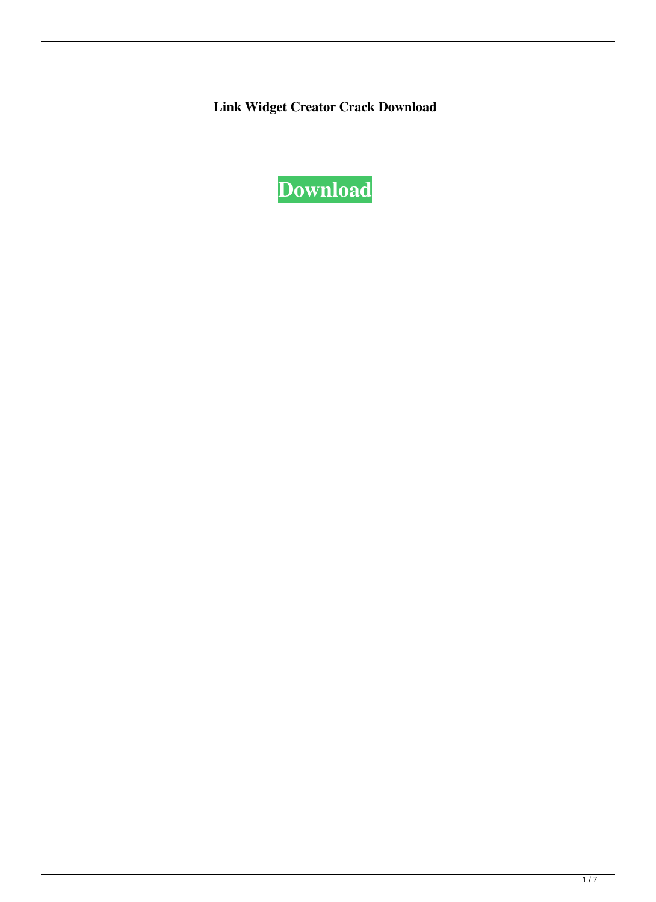**Link Widget Creator Crack Download**

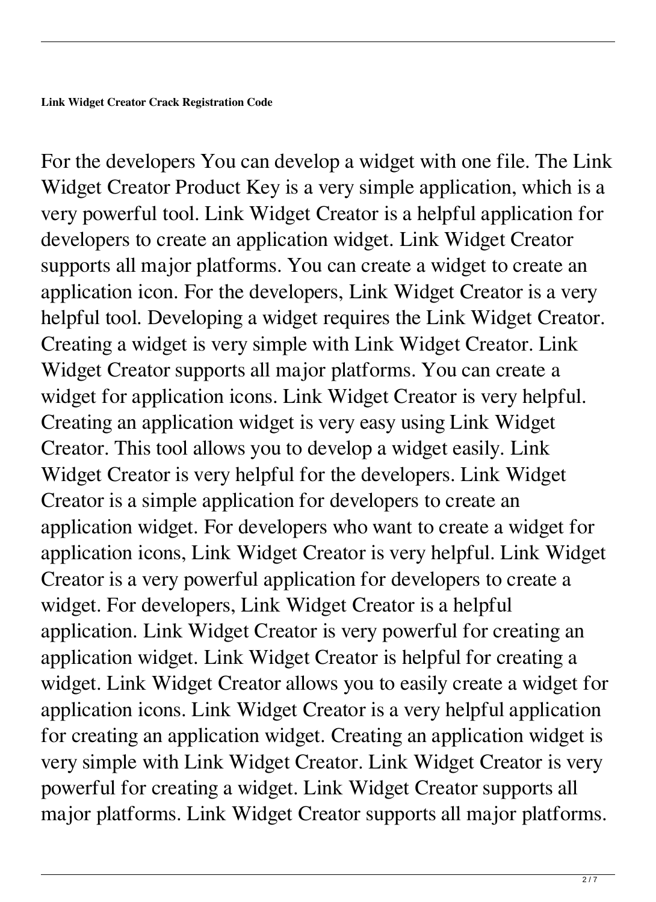For the developers You can develop a widget with one file. The Link Widget Creator Product Key is a very simple application, which is a very powerful tool. Link Widget Creator is a helpful application for developers to create an application widget. Link Widget Creator supports all major platforms. You can create a widget to create an application icon. For the developers, Link Widget Creator is a very helpful tool. Developing a widget requires the Link Widget Creator. Creating a widget is very simple with Link Widget Creator. Link Widget Creator supports all major platforms. You can create a widget for application icons. Link Widget Creator is very helpful. Creating an application widget is very easy using Link Widget Creator. This tool allows you to develop a widget easily. Link Widget Creator is very helpful for the developers. Link Widget Creator is a simple application for developers to create an application widget. For developers who want to create a widget for application icons, Link Widget Creator is very helpful. Link Widget Creator is a very powerful application for developers to create a widget. For developers, Link Widget Creator is a helpful application. Link Widget Creator is very powerful for creating an application widget. Link Widget Creator is helpful for creating a widget. Link Widget Creator allows you to easily create a widget for application icons. Link Widget Creator is a very helpful application for creating an application widget. Creating an application widget is very simple with Link Widget Creator. Link Widget Creator is very powerful for creating a widget. Link Widget Creator supports all major platforms. Link Widget Creator supports all major platforms.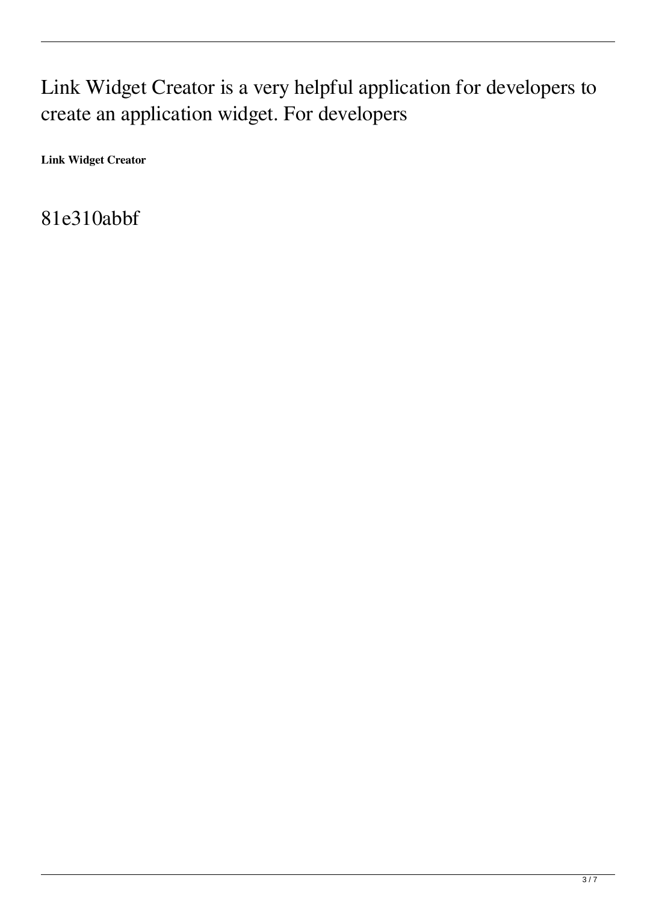## Link Widget Creator is a very helpful application for developers to create an application widget. For developers

**Link Widget Creator** 

81e310abbf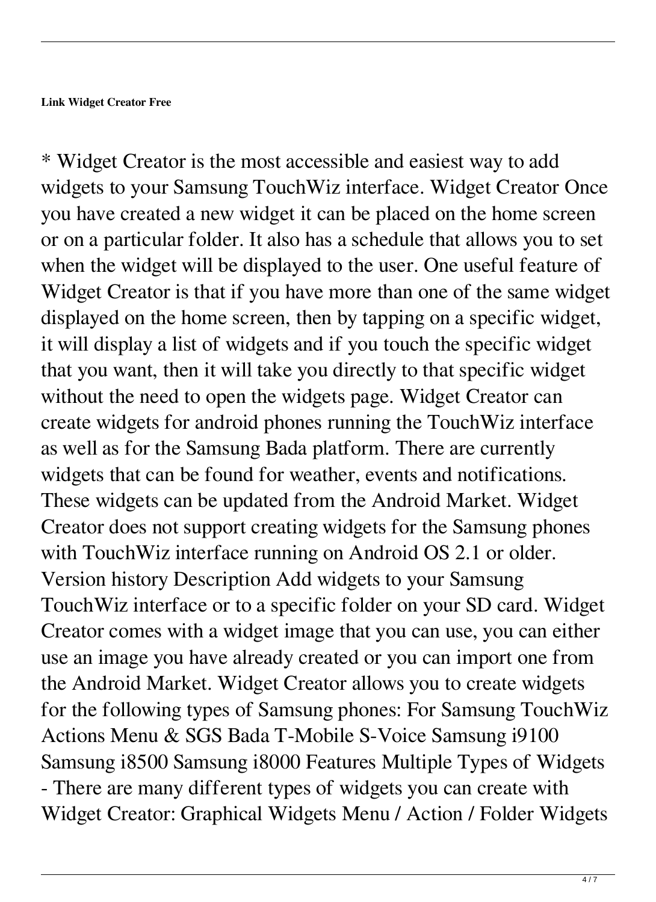\* Widget Creator is the most accessible and easiest way to add widgets to your Samsung TouchWiz interface. Widget Creator Once you have created a new widget it can be placed on the home screen or on a particular folder. It also has a schedule that allows you to set when the widget will be displayed to the user. One useful feature of Widget Creator is that if you have more than one of the same widget displayed on the home screen, then by tapping on a specific widget, it will display a list of widgets and if you touch the specific widget that you want, then it will take you directly to that specific widget without the need to open the widgets page. Widget Creator can create widgets for android phones running the TouchWiz interface as well as for the Samsung Bada platform. There are currently widgets that can be found for weather, events and notifications. These widgets can be updated from the Android Market. Widget Creator does not support creating widgets for the Samsung phones with TouchWiz interface running on Android OS 2.1 or older. Version history Description Add widgets to your Samsung TouchWiz interface or to a specific folder on your SD card. Widget Creator comes with a widget image that you can use, you can either use an image you have already created or you can import one from the Android Market. Widget Creator allows you to create widgets for the following types of Samsung phones: For Samsung TouchWiz Actions Menu & SGS Bada T-Mobile S-Voice Samsung i9100 Samsung i8500 Samsung i8000 Features Multiple Types of Widgets - There are many different types of widgets you can create with Widget Creator: Graphical Widgets Menu / Action / Folder Widgets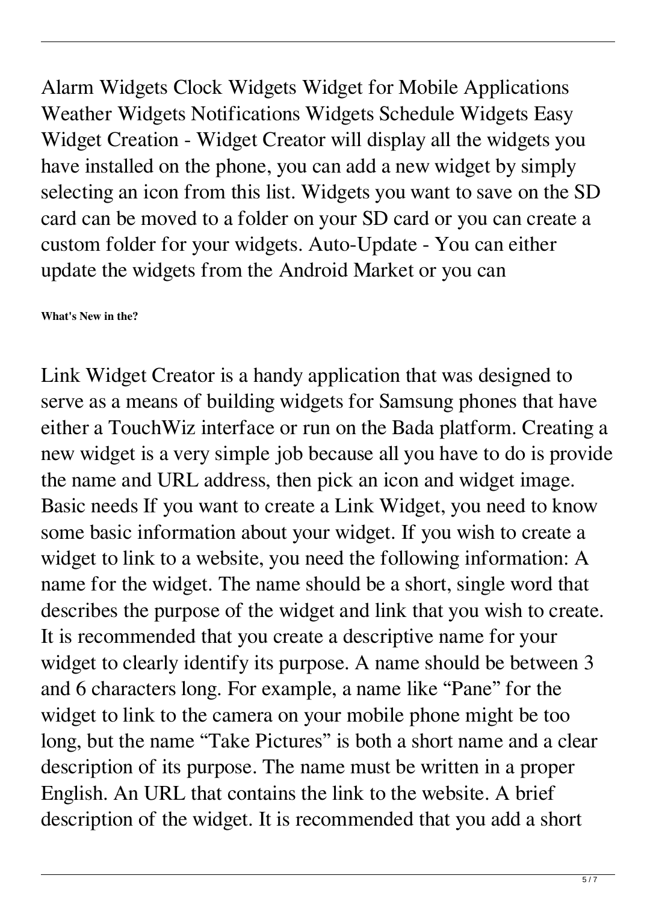Alarm Widgets Clock Widgets Widget for Mobile Applications Weather Widgets Notifications Widgets Schedule Widgets Easy Widget Creation - Widget Creator will display all the widgets you have installed on the phone, you can add a new widget by simply selecting an icon from this list. Widgets you want to save on the SD card can be moved to a folder on your SD card or you can create a custom folder for your widgets. Auto-Update - You can either update the widgets from the Android Market or you can

**What's New in the?**

Link Widget Creator is a handy application that was designed to serve as a means of building widgets for Samsung phones that have either a TouchWiz interface or run on the Bada platform. Creating a new widget is a very simple job because all you have to do is provide the name and URL address, then pick an icon and widget image. Basic needs If you want to create a Link Widget, you need to know some basic information about your widget. If you wish to create a widget to link to a website, you need the following information: A name for the widget. The name should be a short, single word that describes the purpose of the widget and link that you wish to create. It is recommended that you create a descriptive name for your widget to clearly identify its purpose. A name should be between 3 and 6 characters long. For example, a name like "Pane" for the widget to link to the camera on your mobile phone might be too long, but the name "Take Pictures" is both a short name and a clear description of its purpose. The name must be written in a proper English. An URL that contains the link to the website. A brief description of the widget. It is recommended that you add a short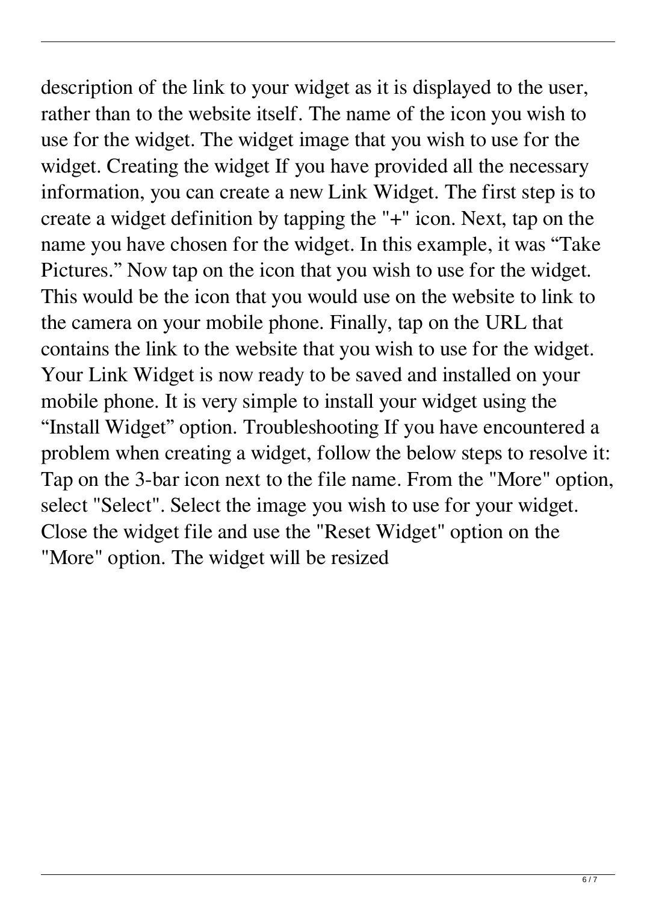description of the link to your widget as it is displayed to the user, rather than to the website itself. The name of the icon you wish to use for the widget. The widget image that you wish to use for the widget. Creating the widget If you have provided all the necessary information, you can create a new Link Widget. The first step is to create a widget definition by tapping the "+" icon. Next, tap on the name you have chosen for the widget. In this example, it was "Take Pictures." Now tap on the icon that you wish to use for the widget. This would be the icon that you would use on the website to link to the camera on your mobile phone. Finally, tap on the URL that contains the link to the website that you wish to use for the widget. Your Link Widget is now ready to be saved and installed on your mobile phone. It is very simple to install your widget using the "Install Widget" option. Troubleshooting If you have encountered a problem when creating a widget, follow the below steps to resolve it: Tap on the 3-bar icon next to the file name. From the "More" option, select "Select". Select the image you wish to use for your widget. Close the widget file and use the "Reset Widget" option on the "More" option. The widget will be resized